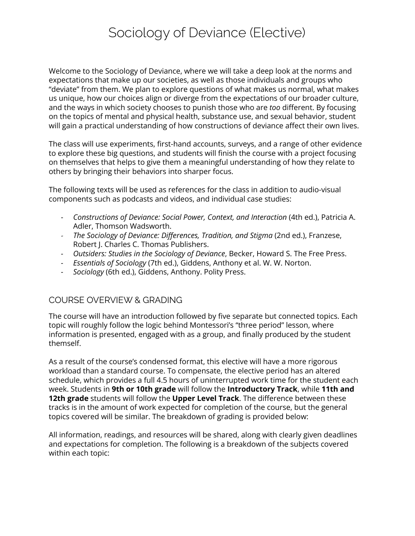# Sociology of Deviance (Elective)

Welcome to the Sociology of Deviance, where we will take a deep look at the norms and expectations that make up our societies, as well as those individuals and groups who "deviate" from them. We plan to explore questions of what makes us normal, what makes us unique, how our choices align or diverge from the expectations of our broader culture, and the ways in which society chooses to punish those who are *too* different. By focusing on the topics of mental and physical health, substance use, and sexual behavior, student will gain a practical understanding of how constructions of deviance affect their own lives.

The class will use experiments, first-hand accounts, surveys, and a range of other evidence to explore these big questions, and students will finish the course with a project focusing on themselves that helps to give them a meaningful understanding of how they relate to others by bringing their behaviors into sharper focus.

The following texts will be used as references for the class in addition to audio-visual components such as podcasts and videos, and individual case studies:

- *- Constructions of Deviance: Social Power, Context, and Interaction* (4th ed.), Patricia A. Adler, Thomson Wadsworth.
- *- The Sociology of Deviance: Differences, Tradition, and Stigma* (2nd ed.), Franzese, Robert J. Charles C. Thomas Publishers.
- *- Outsiders: Studies in the Sociology of Deviance*, Becker, Howard S. The Free Press.
- *- Essentials of Sociology* (7th ed.), Giddens, Anthony et al. W. W. Norton.
- *- Sociology* (6th ed.), Giddens, Anthony. Polity Press.

# COURSE OVERVIEW & GRADING

The course will have an introduction followed by five separate but connected topics. Each topic will roughly follow the logic behind Montessori's "three period" lesson, where information is presented, engaged with as a group, and finally produced by the student themself.

As a result of the course's condensed format, this elective will have a more rigorous workload than a standard course. To compensate, the elective period has an altered schedule, which provides a full 4.5 hours of uninterrupted work time for the student each week. Students in **9th or 10th grade** will follow the **Introductory Track**, while **11th and 12th grade** students will follow the **Upper Level Track**. The difference between these tracks is in the amount of work expected for completion of the course, but the general topics covered will be similar. The breakdown of grading is provided below:

All information, readings, and resources will be shared, along with clearly given deadlines and expectations for completion. The following is a breakdown of the subjects covered within each topic: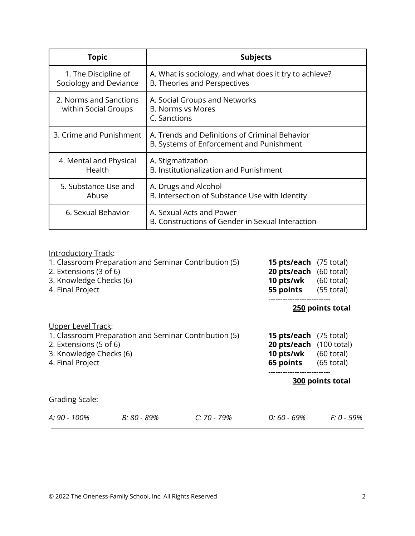| Topic                                                                                              | <b>Subjects</b>                                                                            |  |  |
|----------------------------------------------------------------------------------------------------|--------------------------------------------------------------------------------------------|--|--|
| 1. The Discipline of<br>Sociology and Deviance                                                     | A. What is sociology, and what does it try to achieve?<br>B. Theories and Perspectives     |  |  |
| 2. Norms and Sanctions<br>within Social Groups                                                     | A. Social Groups and Networks<br><b>B. Norms vs Mores</b><br>C. Sanctions                  |  |  |
| 3. Crime and Punishment                                                                            | A. Trends and Definitions of Criminal Behavior<br>B. Systems of Enforcement and Punishment |  |  |
| 4. Mental and Physical<br>Health                                                                   | A. Stigmatization<br>B. Institutionalization and Punishment                                |  |  |
| 5. Substance Use and<br>Abuse                                                                      | A. Drugs and Alcohol<br>B. Intersection of Substance Use with Identity                     |  |  |
| 6. Sexual Behavior<br>A. Sexual Acts and Power<br>B. Constructions of Gender in Sexual Interaction |                                                                                            |  |  |

| <b>Introductory Track:</b>                            |             |               |                                       |            |  |
|-------------------------------------------------------|-------------|---------------|---------------------------------------|------------|--|
| 1. Classroom Preparation and Seminar Contribution (5) |             |               | <b>15 pts/each</b> (75 total)         |            |  |
| 2. Extensions (3 of 6)                                |             |               | <b>20 pts/each</b> (60 total)         |            |  |
| 3. Knowledge Checks (6)                               |             |               | <b>10 pts/wk</b> $(60 \text{ total})$ |            |  |
| 4. Final Project                                      |             |               | <b>55 points</b> (55 total)           |            |  |
|                                                       |             |               | 250 points total                      |            |  |
| Upper Level Track:                                    |             |               |                                       |            |  |
| 1. Classroom Preparation and Seminar Contribution (5) |             |               | <b>15 pts/each</b> (75 total)         |            |  |
| 2. Extensions (5 of 6)                                |             |               | <b>20 pts/each</b> (100 total)        |            |  |
| 3. Knowledge Checks (6)                               |             |               | <b>10 pts/wk</b> (60 total)           |            |  |
| 4. Final Project                                      |             |               | <b>65 points</b> (65 total)           |            |  |
|                                                       |             |               | 300 points total                      |            |  |
| <b>Grading Scale:</b>                                 |             |               |                                       |            |  |
| A: 90 - 100%                                          | B: 80 - 89% | $C: 70 - 79%$ | D: 60 - 69%                           | F: 0 - 59% |  |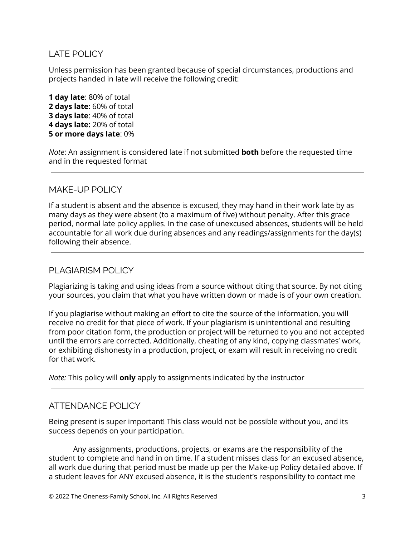## LATE POLICY

Unless permission has been granted because of special circumstances, productions and projects handed in late will receive the following credit:

 **day late**: 80% of total **days late**: 60% of total **days late**: 40% of total **days late:** 20% of total **or more days late**: 0%

*Note*: An assignment is considered late if not submitted **both** before the requested time and in the requested format

#### MAKE-UP POLICY

If a student is absent and the absence is excused, they may hand in their work late by as many days as they were absent (to a maximum of five) without penalty. After this grace period, normal late policy applies. In the case of unexcused absences, students will be held accountable for all work due during absences and any readings/assignments for the day(s) following their absence.

#### PLAGIARISM POLICY

Plagiarizing is taking and using ideas from a source without citing that source. By not citing your sources, you claim that what you have written down or made is of your own creation.

If you plagiarise without making an effort to cite the source of the information, you will receive no credit for that piece of work. If your plagiarism is unintentional and resulting from poor citation form, the production or project will be returned to you and not accepted until the errors are corrected. Additionally, cheating of any kind, copying classmates' work, or exhibiting dishonesty in a production, project, or exam will result in receiving no credit for that work.

*Note:* This policy will **only** apply to assignments indicated by the instructor

## ATTENDANCE POLICY

Being present is super important! This class would not be possible without you, and its success depends on your participation.

Any assignments, productions, projects, or exams are the responsibility of the student to complete and hand in on time. If a student misses class for an excused absence, all work due during that period must be made up per the Make-up Policy detailed above. If a student leaves for ANY excused absence, it is the student's responsibility to contact me